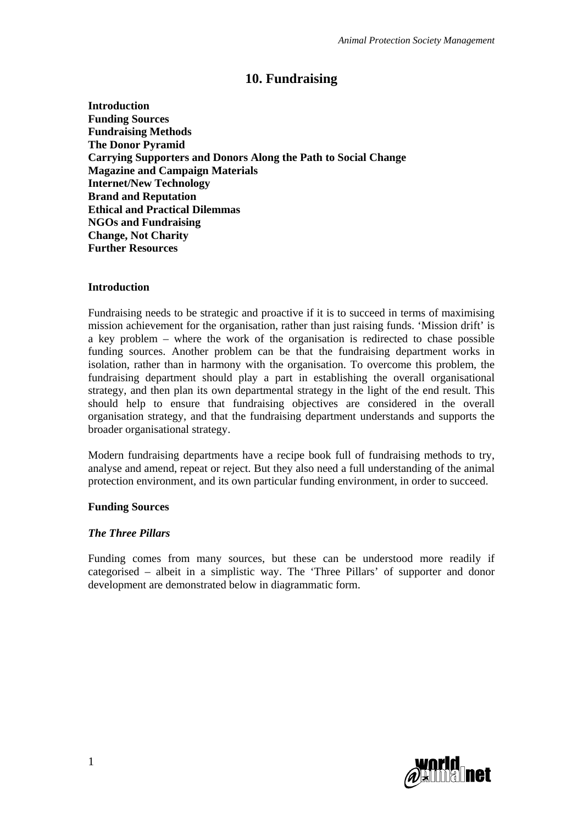# **10. Fundraising**

**Introduction Funding Sources Fundraising Methods The Donor Pyramid Carrying Supporters and Donors Along the Path to Social Change Magazine and Campaign Materials Internet/New Technology Brand and Reputation Ethical and Practical Dilemmas NGOs and Fundraising Change, Not Charity Further Resources** 

#### **Introduction**

Fundraising needs to be strategic and proactive if it is to succeed in terms of maximising mission achievement for the organisation, rather than just raising funds. 'Mission drift' is a key problem – where the work of the organisation is redirected to chase possible funding sources. Another problem can be that the fundraising department works in isolation, rather than in harmony with the organisation. To overcome this problem, the fundraising department should play a part in establishing the overall organisational strategy, and then plan its own departmental strategy in the light of the end result. This should help to ensure that fundraising objectives are considered in the overall organisation strategy, and that the fundraising department understands and supports the broader organisational strategy.

Modern fundraising departments have a recipe book full of fundraising methods to try, analyse and amend, repeat or reject. But they also need a full understanding of the animal protection environment, and its own particular funding environment, in order to succeed.

#### **Funding Sources**

#### *The Three Pillars*

Funding comes from many sources, but these can be understood more readily if categorised – albeit in a simplistic way. The 'Three Pillars' of supporter and donor development are demonstrated below in diagrammatic form.

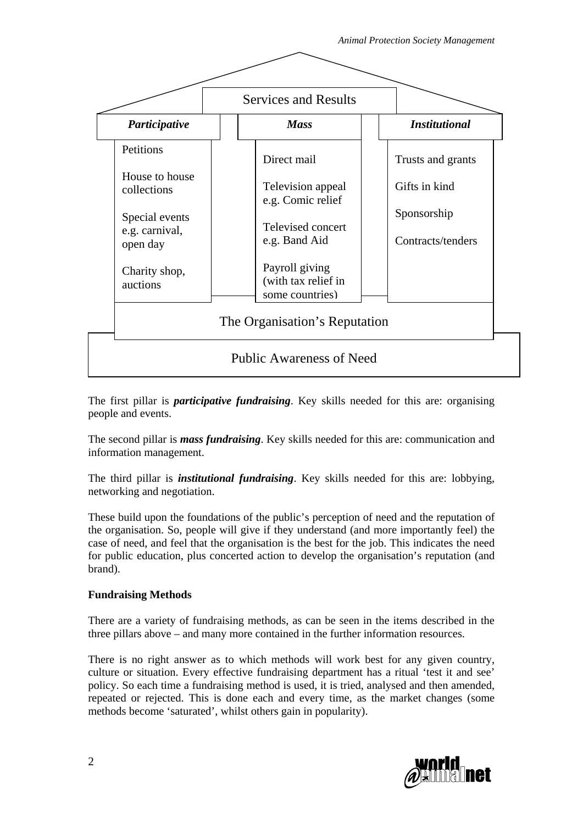

The first pillar is *participative fundraising*. Key skills needed for this are: organising people and events.

The second pillar is *mass fundraising*. Key skills needed for this are: communication and information management.

The third pillar is *institutional fundraising*. Key skills needed for this are: lobbying, networking and negotiation.

These build upon the foundations of the public's perception of need and the reputation of the organisation. So, people will give if they understand (and more importantly feel) the case of need, and feel that the organisation is the best for the job. This indicates the need for public education, plus concerted action to develop the organisation's reputation (and brand).

### **Fundraising Methods**

There are a variety of fundraising methods, as can be seen in the items described in the three pillars above – and many more contained in the further information resources.

There is no right answer as to which methods will work best for any given country, culture or situation. Every effective fundraising department has a ritual 'test it and see' policy. So each time a fundraising method is used, it is tried, analysed and then amended, repeated or rejected. This is done each and every time, as the market changes (some methods become 'saturated', whilst others gain in popularity).

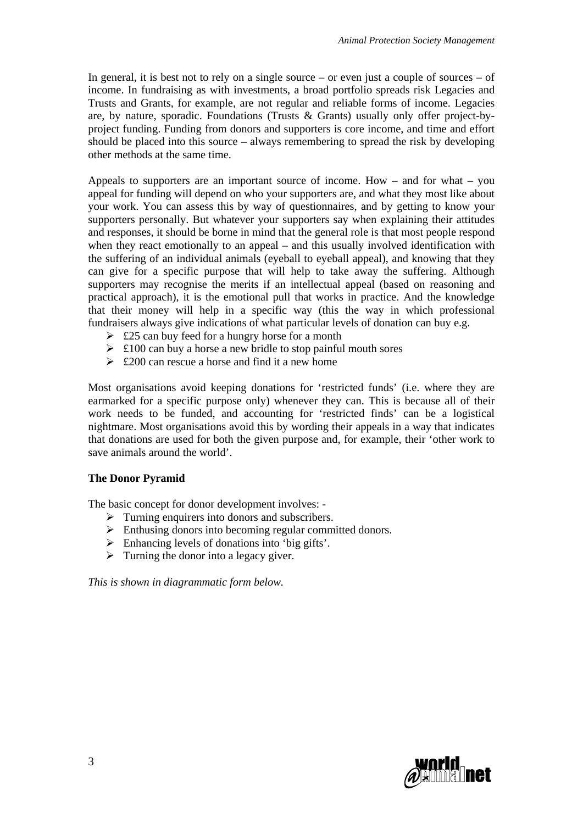In general, it is best not to rely on a single source – or even just a couple of sources – of income. In fundraising as with investments, a broad portfolio spreads risk Legacies and Trusts and Grants, for example, are not regular and reliable forms of income. Legacies are, by nature, sporadic. Foundations (Trusts & Grants) usually only offer project-byproject funding. Funding from donors and supporters is core income, and time and effort should be placed into this source – always remembering to spread the risk by developing other methods at the same time.

Appeals to supporters are an important source of income. How – and for what – you appeal for funding will depend on who your supporters are, and what they most like about your work. You can assess this by way of questionnaires, and by getting to know your supporters personally. But whatever your supporters say when explaining their attitudes and responses, it should be borne in mind that the general role is that most people respond when they react emotionally to an appeal – and this usually involved identification with the suffering of an individual animals (eyeball to eyeball appeal), and knowing that they can give for a specific purpose that will help to take away the suffering. Although supporters may recognise the merits if an intellectual appeal (based on reasoning and practical approach), it is the emotional pull that works in practice. And the knowledge that their money will help in a specific way (this the way in which professional fundraisers always give indications of what particular levels of donation can buy e.g.

- $\geq$  £25 can buy feed for a hungry horse for a month
- $\geq$  £100 can buy a horse a new bridle to stop painful mouth sores
- $\geq$  £200 can rescue a horse and find it a new home

Most organisations avoid keeping donations for 'restricted funds' (i.e. where they are earmarked for a specific purpose only) whenever they can. This is because all of their work needs to be funded, and accounting for 'restricted finds' can be a logistical nightmare. Most organisations avoid this by wording their appeals in a way that indicates that donations are used for both the given purpose and, for example, their 'other work to save animals around the world'.

### **The Donor Pyramid**

The basic concept for donor development involves: -

- $\triangleright$  Turning enquirers into donors and subscribers.
- $\triangleright$  Enthusing donors into becoming regular committed donors.
- $\triangleright$  Enhancing levels of donations into 'big gifts'.
- $\triangleright$  Turning the donor into a legacy giver.

*This is shown in diagrammatic form below.* 

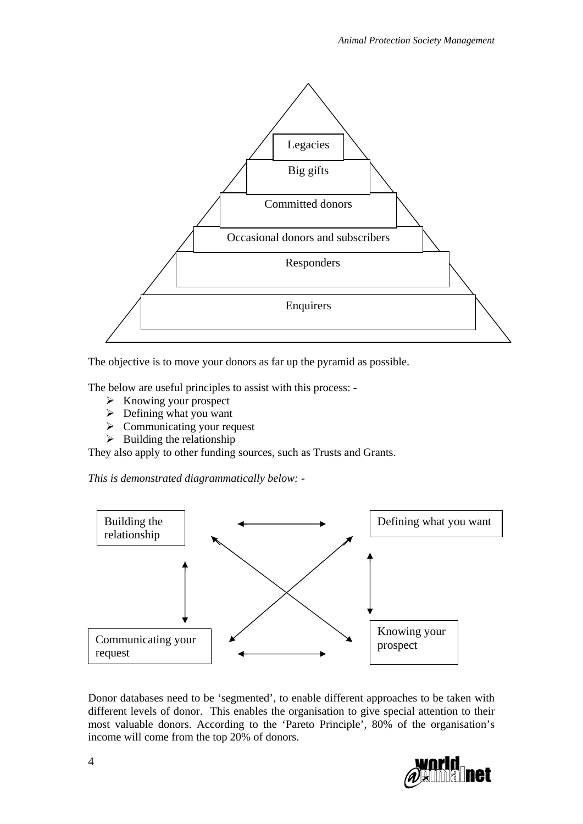

The objective is to move your donors as far up the pyramid as possible.

The below are useful principles to assist with this process: -

- $\triangleright$  Knowing your prospect
- $\triangleright$  Defining what you want
- $\triangleright$  Communicating your request
- $\triangleright$  Building the relationship

They also apply to other funding sources, such as Trusts and Grants.

*This is demonstrated diagrammatically below: -* 



Donor databases need to be 'segmented', to enable different approaches to be taken with different levels of donor. This enables the organisation to give special attention to their most valuable donors. According to the 'Pareto Principle', 80% of the organisation's income will come from the top 20% of donors.

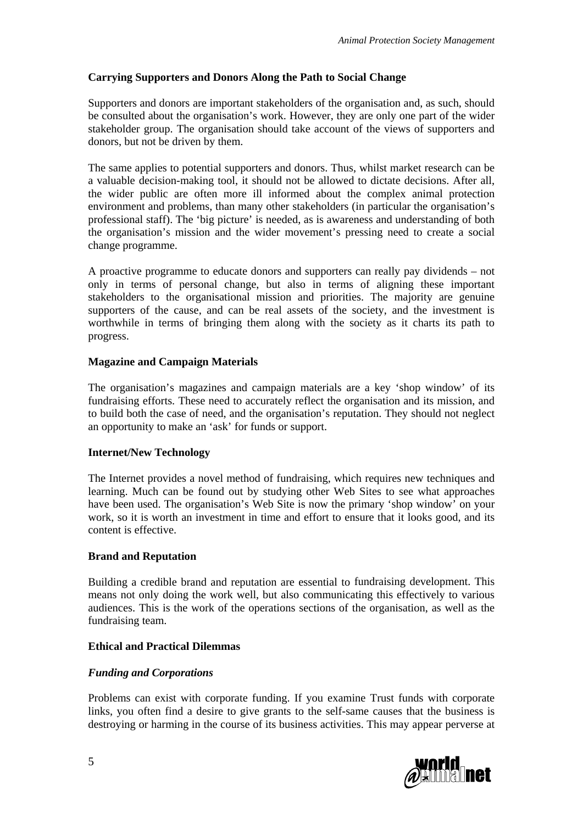## **Carrying Supporters and Donors Along the Path to Social Change**

Supporters and donors are important stakeholders of the organisation and, as such, should be consulted about the organisation's work. However, they are only one part of the wider stakeholder group. The organisation should take account of the views of supporters and donors, but not be driven by them.

The same applies to potential supporters and donors. Thus, whilst market research can be a valuable decision-making tool, it should not be allowed to dictate decisions. After all, the wider public are often more ill informed about the complex animal protection environment and problems, than many other stakeholders (in particular the organisation's professional staff). The 'big picture' is needed, as is awareness and understanding of both the organisation's mission and the wider movement's pressing need to create a social change programme.

A proactive programme to educate donors and supporters can really pay dividends – not only in terms of personal change, but also in terms of aligning these important stakeholders to the organisational mission and priorities. The majority are genuine supporters of the cause, and can be real assets of the society, and the investment is worthwhile in terms of bringing them along with the society as it charts its path to progress.

## **Magazine and Campaign Materials**

The organisation's magazines and campaign materials are a key 'shop window' of its fundraising efforts. These need to accurately reflect the organisation and its mission, and to build both the case of need, and the organisation's reputation. They should not neglect an opportunity to make an 'ask' for funds or support.

### **Internet/New Technology**

The Internet provides a novel method of fundraising, which requires new techniques and learning. Much can be found out by studying other Web Sites to see what approaches have been used. The organisation's Web Site is now the primary 'shop window' on your work, so it is worth an investment in time and effort to ensure that it looks good, and its content is effective.

### **Brand and Reputation**

Building a credible brand and reputation are essential to fundraising development. This means not only doing the work well, but also communicating this effectively to various audiences. This is the work of the operations sections of the organisation, as well as the fundraising team.

### **Ethical and Practical Dilemmas**

### *Funding and Corporations*

Problems can exist with corporate funding. If you examine Trust funds with corporate links, you often find a desire to give grants to the self-same causes that the business is destroying or harming in the course of its business activities. This may appear perverse at

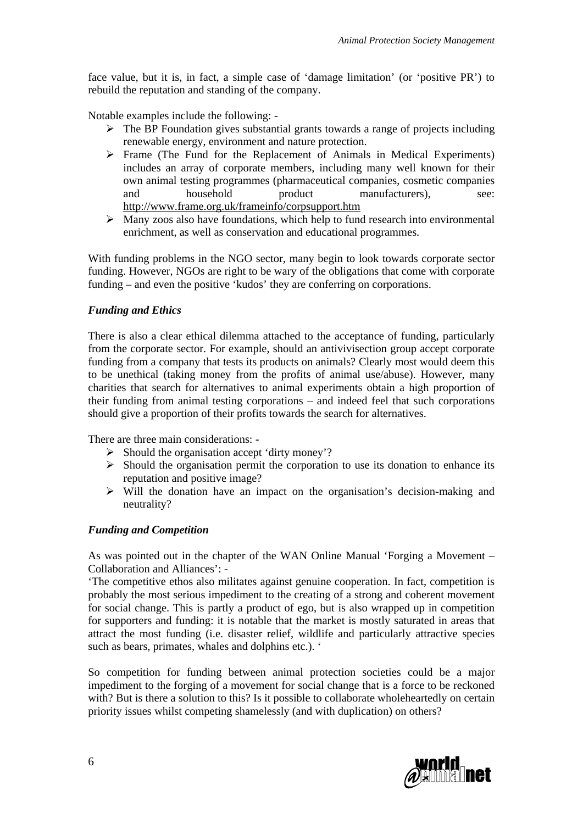face value, but it is, in fact, a simple case of 'damage limitation' (or 'positive PR') to rebuild the reputation and standing of the company.

Notable examples include the following: -

- $\triangleright$  The BP Foundation gives substantial grants towards a range of projects including renewable energy, environment and nature protection.
- $\triangleright$  Frame (The Fund for the Replacement of Animals in Medical Experiments) includes an array of corporate members, including many well known for their own animal testing programmes (pharmaceutical companies, cosmetic companies and household product manufacturers), see: <http://www.frame.org.uk/frameinfo/corpsupport.htm>
- $\triangleright$  Many zoos also have foundations, which help to fund research into environmental enrichment, as well as conservation and educational programmes.

With funding problems in the NGO sector, many begin to look towards corporate sector funding. However, NGOs are right to be wary of the obligations that come with corporate funding – and even the positive 'kudos' they are conferring on corporations.

#### *Funding and Ethics*

There is also a clear ethical dilemma attached to the acceptance of funding, particularly from the corporate sector. For example, should an antivivisection group accept corporate funding from a company that tests its products on animals? Clearly most would deem this to be unethical (taking money from the profits of animal use/abuse). However, many charities that search for alternatives to animal experiments obtain a high proportion of their funding from animal testing corporations – and indeed feel that such corporations should give a proportion of their profits towards the search for alternatives.

There are three main considerations: -

- $\triangleright$  Should the organisation accept 'dirty money'?
- $\triangleright$  Should the organisation permit the corporation to use its donation to enhance its reputation and positive image?
- $\triangleright$  Will the donation have an impact on the organisation's decision-making and neutrality?

#### *Funding and Competition*

As was pointed out in the chapter of the WAN Online Manual 'Forging a Movement – Collaboration and Alliances': -

'The competitive ethos also militates against genuine cooperation. In fact, competition is probably the most serious impediment to the creating of a strong and coherent movement for social change. This is partly a product of ego, but is also wrapped up in competition for supporters and funding: it is notable that the market is mostly saturated in areas that attract the most funding (i.e. disaster relief, wildlife and particularly attractive species such as bears, primates, whales and dolphins etc.). '

So competition for funding between animal protection societies could be a major impediment to the forging of a movement for social change that is a force to be reckoned with? But is there a solution to this? Is it possible to collaborate wholeheartedly on certain priority issues whilst competing shamelessly (and with duplication) on others?

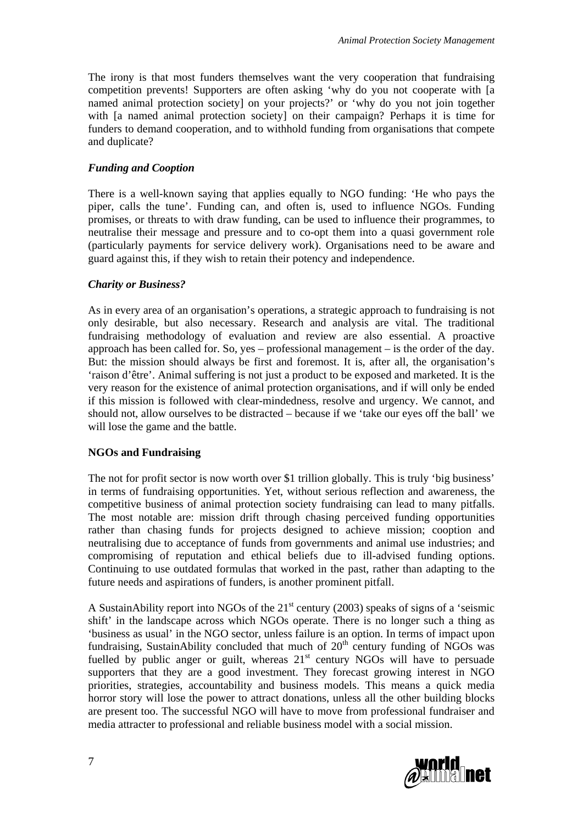The irony is that most funders themselves want the very cooperation that fundraising competition prevents! Supporters are often asking 'why do you not cooperate with [a named animal protection society] on your projects?' or 'why do you not join together with [a named animal protection society] on their campaign? Perhaps it is time for funders to demand cooperation, and to withhold funding from organisations that compete and duplicate?

## *Funding and Cooption*

There is a well-known saying that applies equally to NGO funding: 'He who pays the piper, calls the tune'. Funding can, and often is, used to influence NGOs. Funding promises, or threats to with draw funding, can be used to influence their programmes, to neutralise their message and pressure and to co-opt them into a quasi government role (particularly payments for service delivery work). Organisations need to be aware and guard against this, if they wish to retain their potency and independence.

## *Charity or Business?*

As in every area of an organisation's operations, a strategic approach to fundraising is not only desirable, but also necessary. Research and analysis are vital. The traditional fundraising methodology of evaluation and review are also essential. A proactive approach has been called for. So, yes – professional management – is the order of the day. But: the mission should always be first and foremost. It is, after all, the organisation's 'raison d'être'. Animal suffering is not just a product to be exposed and marketed. It is the very reason for the existence of animal protection organisations, and if will only be ended if this mission is followed with clear-mindedness, resolve and urgency. We cannot, and should not, allow ourselves to be distracted – because if we 'take our eyes off the ball' we will lose the game and the battle.

### **NGOs and Fundraising**

The not for profit sector is now worth over \$1 trillion globally. This is truly 'big business' in terms of fundraising opportunities. Yet, without serious reflection and awareness, the competitive business of animal protection society fundraising can lead to many pitfalls. The most notable are: mission drift through chasing perceived funding opportunities rather than chasing funds for projects designed to achieve mission; cooption and neutralising due to acceptance of funds from governments and animal use industries; and compromising of reputation and ethical beliefs due to ill-advised funding options. Continuing to use outdated formulas that worked in the past, rather than adapting to the future needs and aspirations of funders, is another prominent pitfall.

A SustainAbility report into NGOs of the  $21<sup>st</sup>$  century (2003) speaks of signs of a 'seismic shift' in the landscape across which NGOs operate. There is no longer such a thing as 'business as usual' in the NGO sector, unless failure is an option. In terms of impact upon fundraising, SustainAbility concluded that much of  $20<sup>th</sup>$  century funding of NGOs was fuelled by public anger or guilt, whereas  $21<sup>st</sup>$  century NGOs will have to persuade supporters that they are a good investment. They forecast growing interest in NGO priorities, strategies, accountability and business models. This means a quick media horror story will lose the power to attract donations, unless all the other building blocks are present too. The successful NGO will have to move from professional fundraiser and media attracter to professional and reliable business model with a social mission.

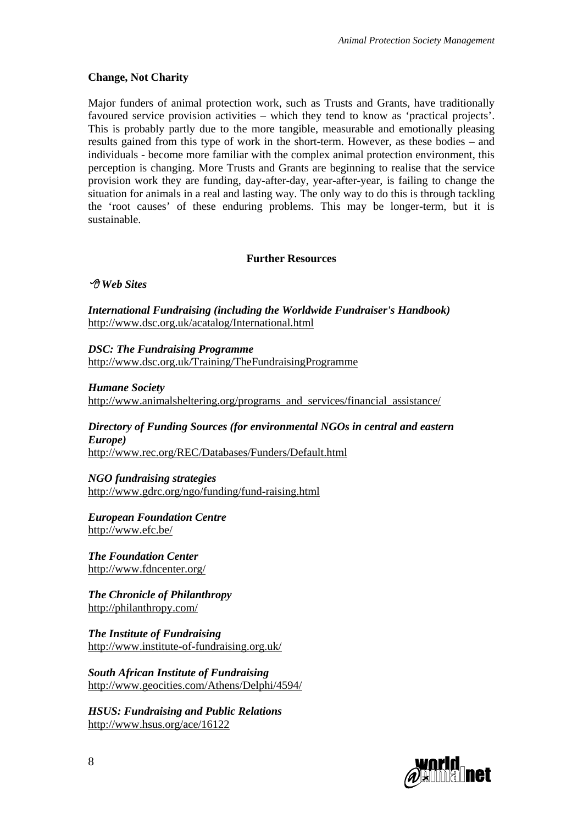### **Change, Not Charity**

Major funders of animal protection work, such as Trusts and Grants, have traditionally favoured service provision activities – which they tend to know as 'practical projects'. This is probably partly due to the more tangible, measurable and emotionally pleasing results gained from this type of work in the short-term. However, as these bodies – and individuals - become more familiar with the complex animal protection environment, this perception is changing. More Trusts and Grants are beginning to realise that the service provision work they are funding, day-after-day, year-after-year, is failing to change the situation for animals in a real and lasting way. The only way to do this is through tackling the 'root causes' of these enduring problems. This may be longer-term, but it is sustainable.

## **Further Resources**

 *Web Sites* 

*International Fundraising (including the Worldwide Fundraiser's Handbook)*  <http://www.dsc.org.uk/acatalog/International.html>

*DSC: The Fundraising Programme*  <http://www.dsc.org.uk/Training/TheFundraisingProgramme>

*Humane Society* 

[http://www.animalsheltering.org/programs\\_and\\_services/financial\\_assistance/](http://www.animalsheltering.org/programs_and_services/financial_assistance/)

*Directory of Funding Sources (for environmental NGOs in central and eastern Europe)* 

<http://www.rec.org/REC/Databases/Funders/Default.html>

*NGO fundraising strategies* 

<http://www.gdrc.org/ngo/funding/fund-raising.html>

*European Foundation Centre*  <http://www.efc.be/>

*The Foundation Center*  <http://www.fdncenter.org/>

*The Chronicle of Philanthropy*  <http://philanthropy.com/>

*The Institute of Fundraising*  <http://www.institute-of-fundraising.org.uk/>

*South African Institute of Fundraising*  <http://www.geocities.com/Athens/Delphi/4594/>

*HSUS: Fundraising and Public Relations*  <http://www.hsus.org/ace/16122>

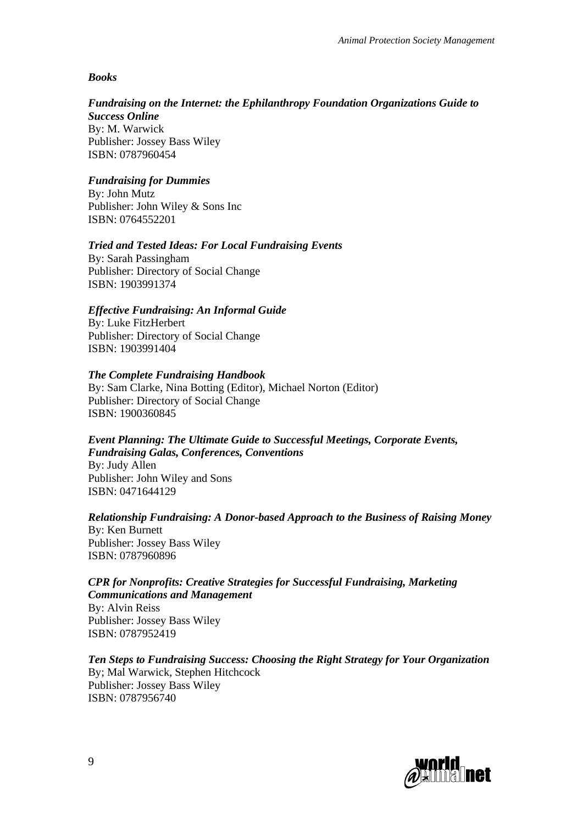### *Books*

## *Fundraising on the Internet: the Ephilanthropy Foundation Organizations Guide to*

*Success Online*  By: [M. Warwick](http://www.amazon.co.uk/exec/obidos/search-handle-url/index=books-uk&field-author=Warwick%2C%20M./026-7154601-8886810)  Publisher: Jossey Bass Wiley ISBN: 0787960454

### *Fundraising for Dummies*

By: [John Mutz](http://www.amazon.co.uk/exec/obidos/search-handle-url/index=books-uk&field-author=Mutz%2C%20John/026-7154601-8886810) Publisher: John Wiley & Sons Inc ISBN: 0764552201

### *Tried and Tested Ideas: For Local Fundraising Events*

By: [Sarah Passingham](http://www.amazon.co.uk/exec/obidos/search-handle-url/index=books-uk&field-author=Passingham%2C%20Sarah/026-7154601-8886810)  Publisher: Directory of Social Change ISBN: 1903991374

## *Effective Fundraising: An Informal Guide*

By: [Luke FitzHerbert](http://www.amazon.co.uk/exec/obidos/search-handle-url/index=books-uk&field-author=FitzHerbert%2C%20Luke/026-7154601-8886810)  Publisher: Directory of Social Change ISBN: 1903991404

#### *The Complete Fundraising Handbook*

By: [Sam Clarke,](http://www.amazon.co.uk/exec/obidos/search-handle-url/index=books-uk&field-author=Clarke%2C%20Sam/026-7154601-8886810) [Nina Botting](http://www.amazon.co.uk/exec/obidos/search-handle-url/index=books-uk&field-author=Botting%2C%20Nina/026-7154601-8886810) (Editor), [Michael Norton](http://www.amazon.co.uk/exec/obidos/search-handle-url/index=books-uk&field-author=Norton%2C%20Michael/026-7154601-8886810) (Editor) Publisher: Directory of Social Change ISBN: 1900360845

# *Event Planning: The Ultimate Guide to Successful Meetings, Corporate Events,*

*Fundraising Galas, Conferences, Conventions* 

By: [Judy Allen](http://www.amazon.co.uk/exec/obidos/search-handle-url/index=books-uk&field-author=Allen%2C%20Judy/026-7154601-8886810)  Publisher: John Wiley and Sons ISBN: 0471644129

# *Relationship Fundraising: A Donor-based Approach to the Business of Raising Money*

By: [Ken Burnett](http://www.amazon.co.uk/exec/obidos/search-handle-url/index=books-uk&field-author=Burnett%2C%20Ken/026-7154601-8886810)  Publisher: Jossey Bass Wiley ISBN: 0787960896

#### *CPR for Nonprofits: Creative Strategies for Successful Fundraising, Marketing Communications and Management*

By: [Alvin Reiss](http://www.amazon.co.uk/exec/obidos/search-handle-url/index=books-uk&field-author=Reiss%2C%20Alvin/026-7154601-8886810)  Publisher: Jossey Bass Wiley ISBN: 0787952419

*Ten Steps to Fundraising Success: Choosing the Right Strategy for Your Organization*  By; [Mal Warwick](http://www.amazon.co.uk/exec/obidos/search-handle-url/index=books-uk&field-author=Warwick%2C%20Mal/026-7154601-8886810), [Stephen Hitchcock](http://www.amazon.co.uk/exec/obidos/search-handle-url/index=books-uk&field-author=Hitchcock%2C%20Stephen/026-7154601-8886810)  Publisher: Jossey Bass Wiley ISBN: 0787956740